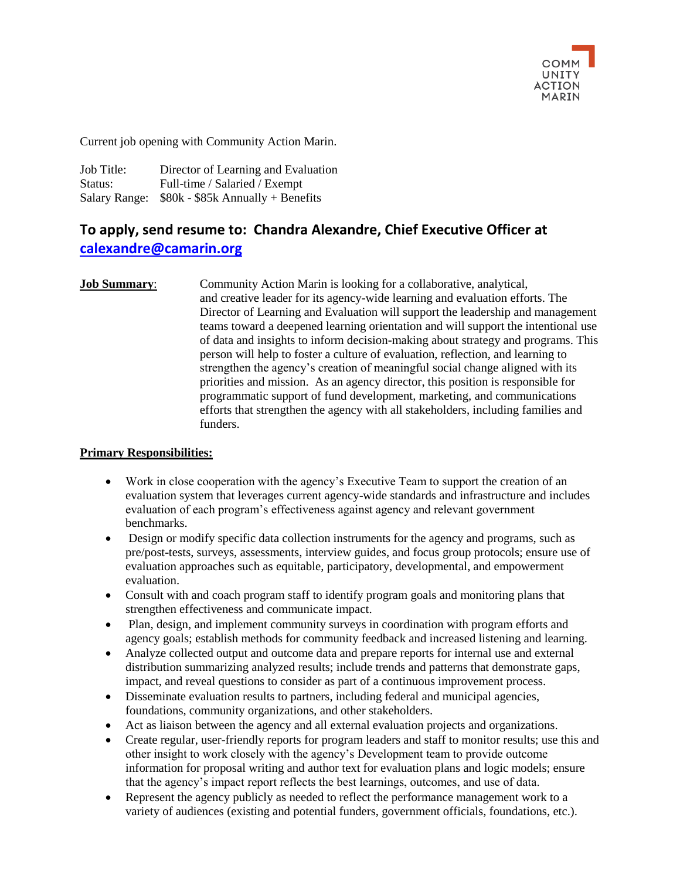

Current job opening with Community Action Marin.

Job Title: Director of Learning and Evaluation Status: Full-time / Salaried / Exempt Salary Range: \$80k - \$85k Annually + Benefits

# **To apply, send resume to: Chandra Alexandre, Chief Executive Officer at [calexandre@camarin.org](mailto:calexandre@camarin.org)**

**Job Summary:** Community Action Marin is looking for a collaborative, analytical, and creative leader for its agency-wide learning and evaluation efforts. The Director of Learning and Evaluation will support the leadership and management teams toward a deepened learning orientation and will support the intentional use of data and insights to inform decision-making about strategy and programs. This person will help to foster a culture of evaluation, reflection, and learning to strengthen the agency's creation of meaningful social change aligned with its priorities and mission. As an agency director, this position is responsible for programmatic support of fund development, marketing, and communications efforts that strengthen the agency with all stakeholders, including families and funders.

#### **Primary Responsibilities:**

- Work in close cooperation with the agency's Executive Team to support the creation of an evaluation system that leverages current agency-wide standards and infrastructure and includes evaluation of each program's effectiveness against agency and relevant government benchmarks.
- Design or modify specific data collection instruments for the agency and programs, such as pre/post-tests, surveys, assessments, interview guides, and focus group protocols; ensure use of evaluation approaches such as equitable, participatory, developmental, and empowerment evaluation.
- Consult with and coach program staff to identify program goals and monitoring plans that strengthen effectiveness and communicate impact.
- Plan, design, and implement community surveys in coordination with program efforts and agency goals; establish methods for community feedback and increased listening and learning.
- Analyze collected output and outcome data and prepare reports for internal use and external distribution summarizing analyzed results; include trends and patterns that demonstrate gaps, impact, and reveal questions to consider as part of a continuous improvement process.
- Disseminate evaluation results to partners, including federal and municipal agencies, foundations, community organizations, and other stakeholders.
- Act as liaison between the agency and all external evaluation projects and organizations.
- Create regular, user-friendly reports for program leaders and staff to monitor results; use this and other insight to work closely with the agency's Development team to provide outcome information for proposal writing and author text for evaluation plans and logic models; ensure that the agency's impact report reflects the best learnings, outcomes, and use of data.
- Represent the agency publicly as needed to reflect the performance management work to a variety of audiences (existing and potential funders, government officials, foundations, etc.).